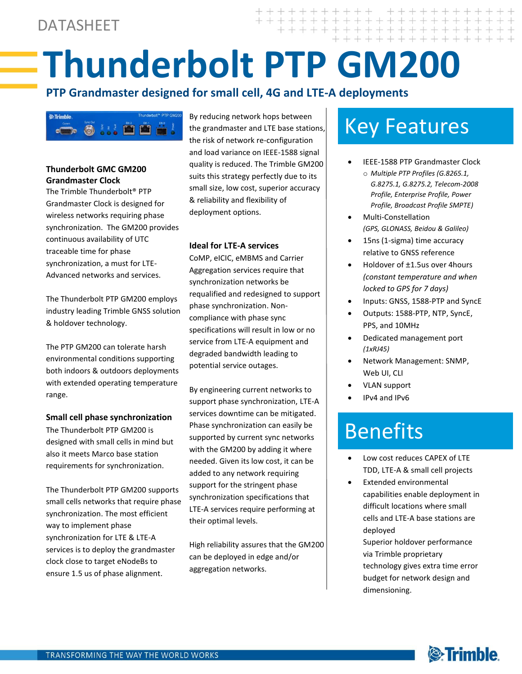# **Thunderbolt PTP GM200**

## **PTP Grandmaster designed for small cell, 4G and LTE-A deployments**



### **Thunderbolt GMC GM200 Grandmaster Clock**

The Trimble Thunderbolt® PTP Grandmaster Clock is designed for wireless networks requiring phase synchronization. The GM200 provides continuous availability of UTC traceable time for phase synchronization, a must for LTE-Advanced networks and services.

The Thunderbolt PTP GM200 employs industry leading Trimble GNSS solution & holdover technology.

The PTP GM200 can tolerate harsh environmental conditions supporting both indoors & outdoors deployments with extended operating temperature range.

#### **Small cell phase synchronization**

The Thunderbolt PTP GM200 is designed with small cells in mind but also it meets Marco base station requirements for synchronization.

The Thunderbolt PTP GM200 supports small cells networks that require phase synchronization. The most efficient way to implement phase synchronization for LTE & LTE-A services is to deploy the grandmaster clock close to target eNodeBs to ensure 1.5 us of phase alignment.

By reducing network hops between the grandmaster and LTE base stations, the risk of network re-configuration and load variance on IEEE-1588 signal quality is reduced. The Trimble GM200 suits this strategy perfectly due to its small size, low cost, superior accuracy & reliability and flexibility of deployment options.

#### **Ideal for LTE-A services**

CoMP, eICIC, eMBMS and Carrier Aggregation services require that synchronization networks be requalified and redesigned to support phase synchronization. Noncompliance with phase sync specifications will result in low or no service from LTE-A equipment and degraded bandwidth leading to potential service outages.

By engineering current networks to support phase synchronization, LTE-A services downtime can be mitigated. Phase synchronization can easily be supported by current sync networks with the GM200 by adding it where needed. Given its low cost, it can be added to any network requiring support for the stringent phase synchronization specifications that LTE-A services require performing at their optimal levels.

High reliability assures that the GM200 can be deployed in edge and/or aggregation networks.

# Key Features

- IEEE-1588 PTP Grandmaster Clock o *Multiple PTP Profiles (G.8265.1,* 
	- *G.8275.1, G.8275.2, Telecom-2008 Profile, Enterprise Profile, Power Profile, Broadcast Profile SMPTE)*
- Multi-Constellation *(GPS, GLONASS, Beidou & Galileo)*
- 15ns (1-sigma) time accuracy relative to GNSS reference
- Holdover of ±1.5us over 4hours *(constant temperature and when locked to GPS for 7 days)*
- Inputs: GNSS, 1588-PTP and SyncE
- Outputs: 1588-PTP, NTP, SyncE, PPS, and 10MHz
- Dedicated management port *(1xRJ45)*
- Network Management: SNMP, Web UI, CLI
- VLAN support
- IPv4 and IPv6

# Benefits

- Low cost reduces CAPEX of LTE TDD, LTE-A & small cell projects
- Extended environmental capabilities enable deployment in difficult locations where small cells and LTE-A base stations are deployed
	- Superior holdover performance via Trimble proprietary technology gives extra time error budget for network design and dimensioning.